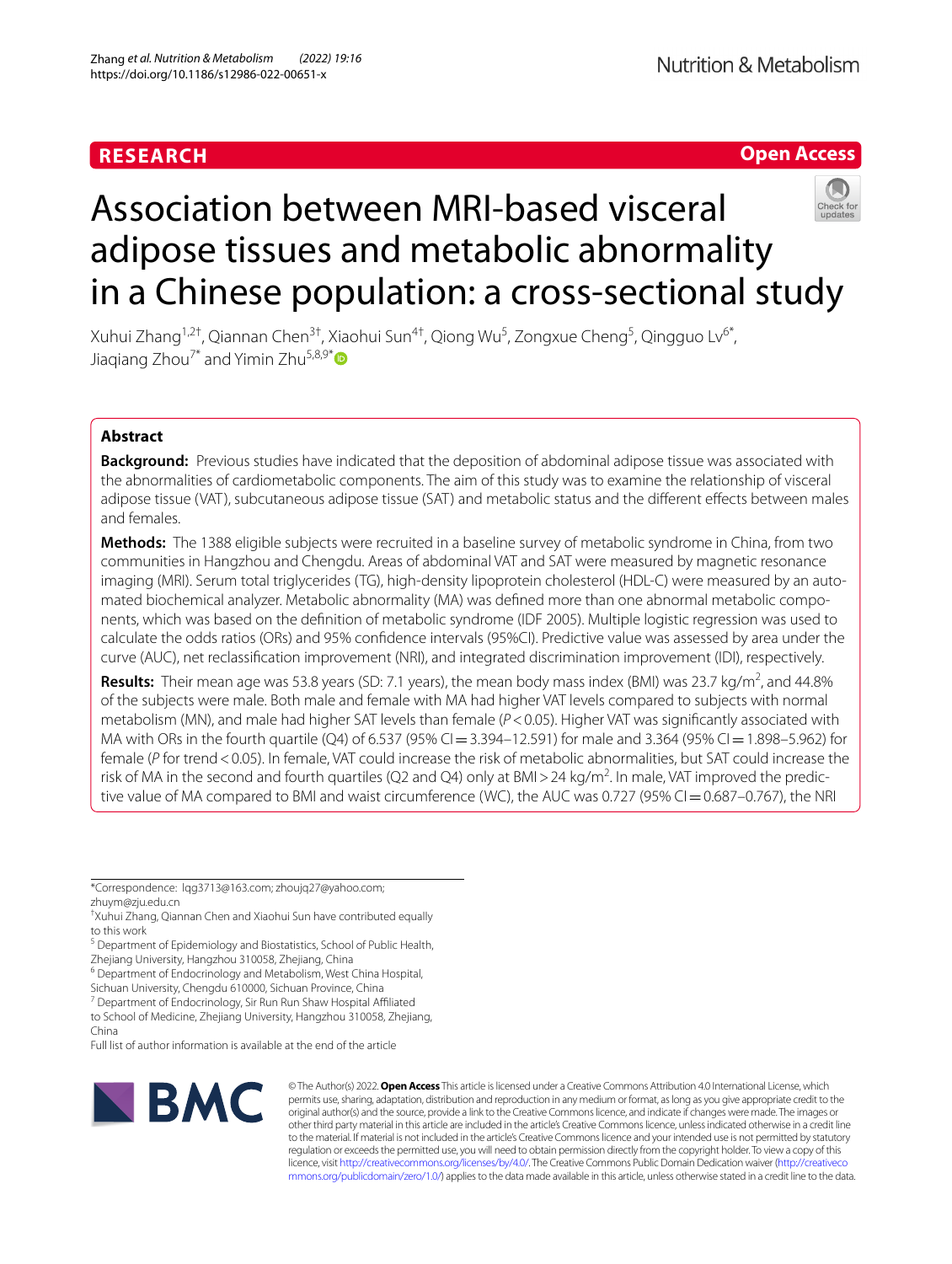# **RESEARCH**





# Association between MRI-based visceral adipose tissues and metabolic abnormality in a Chinese population: a cross-sectional study

Xuhui Zhang<sup>1,2†</sup>, Qiannan Chen<sup>3†</sup>, Xiaohui Sun<sup>4†</sup>, Qiong Wu<sup>5</sup>, Zongxue Cheng<sup>5</sup>, Qingguo Lv<sup>6\*</sup>, Jiaqiang Zhou<sup>7[\\*](http://orcid.org/0000-0001-8409-7636)</sup> and Yimin Zhu<sup>5,8,9\*</sup>

# **Abstract**

**Background:** Previous studies have indicated that the deposition of abdominal adipose tissue was associated with the abnormalities of cardiometabolic components. The aim of this study was to examine the relationship of visceral adipose tissue (VAT), subcutaneous adipose tissue (SAT) and metabolic status and the diferent efects between males and females.

**Methods:** The 1388 eligible subjects were recruited in a baseline survey of metabolic syndrome in China, from two communities in Hangzhou and Chengdu. Areas of abdominal VAT and SAT were measured by magnetic resonance imaging (MRI). Serum total triglycerides (TG), high-density lipoprotein cholesterol (HDL-C) were measured by an automated biochemical analyzer. Metabolic abnormality (MA) was defned more than one abnormal metabolic components, which was based on the defnition of metabolic syndrome (IDF 2005). Multiple logistic regression was used to calculate the odds ratios (ORs) and 95% confdence intervals (95%CI). Predictive value was assessed by area under the curve (AUC), net reclassifcation improvement (NRI), and integrated discrimination improvement (IDI), respectively.

Results: Their mean age was 53.8 years (SD: 7.1 years), the mean body mass index (BMI) was 23.7 kg/m<sup>2</sup>, and 44.8% of the subjects were male. Both male and female with MA had higher VAT levels compared to subjects with normal metabolism (MN), and male had higher SAT levels than female (*P*<0.05). Higher VAT was signifcantly associated with MA with ORs in the fourth quartile (Q4) of 6.537 (95% CI = 3.394–12.591) for male and 3.364 (95% CI = 1.898–5.962) for female (*P* for trend <0.05). In female, VAT could increase the risk of metabolic abnormalities, but SAT could increase the risk of MA in the second and fourth quartiles (Q2 and Q4) only at BMI > 24 kg/m<sup>2</sup>. In male, VAT improved the predictive value of MA compared to BMI and waist circumference (WC), the AUC was 0.727 (95% CI=0.687–0.767), the NRI

\*Correspondence: lqg3713@163.com; zhoujq27@yahoo.com; zhuym@zju.edu.cn

Sichuan University, Chengdu 610000, Sichuan Province, China

<sup>7</sup> Department of Endocrinology, Sir Run Run Shaw Hospital Affiliated

to School of Medicine, Zhejiang University, Hangzhou 310058, Zhejiang, China

Full list of author information is available at the end of the article



© The Author(s) 2022. **Open Access** This article is licensed under a Creative Commons Attribution 4.0 International License, which permits use, sharing, adaptation, distribution and reproduction in any medium or format, as long as you give appropriate credit to the original author(s) and the source, provide a link to the Creative Commons licence, and indicate if changes were made. The images or other third party material in this article are included in the article's Creative Commons licence, unless indicated otherwise in a credit line to the material. If material is not included in the article's Creative Commons licence and your intended use is not permitted by statutory regulation or exceeds the permitted use, you will need to obtain permission directly from the copyright holder. To view a copy of this licence, visit [http://creativecommons.org/licenses/by/4.0/.](http://creativecommons.org/licenses/by/4.0/) The Creative Commons Public Domain Dedication waiver ([http://creativeco](http://creativecommons.org/publicdomain/zero/1.0/) [mmons.org/publicdomain/zero/1.0/](http://creativecommons.org/publicdomain/zero/1.0/)) applies to the data made available in this article, unless otherwise stated in a credit line to the data.

<sup>†</sup> Xuhui Zhang, Qiannan Chen and Xiaohui Sun have contributed equally to this work

<sup>&</sup>lt;sup>5</sup> Department of Epidemiology and Biostatistics, School of Public Health,

Zhejiang University, Hangzhou 310058, Zhejiang, China <sup>6</sup> Department of Endocrinology and Metabolism, West China Hospital,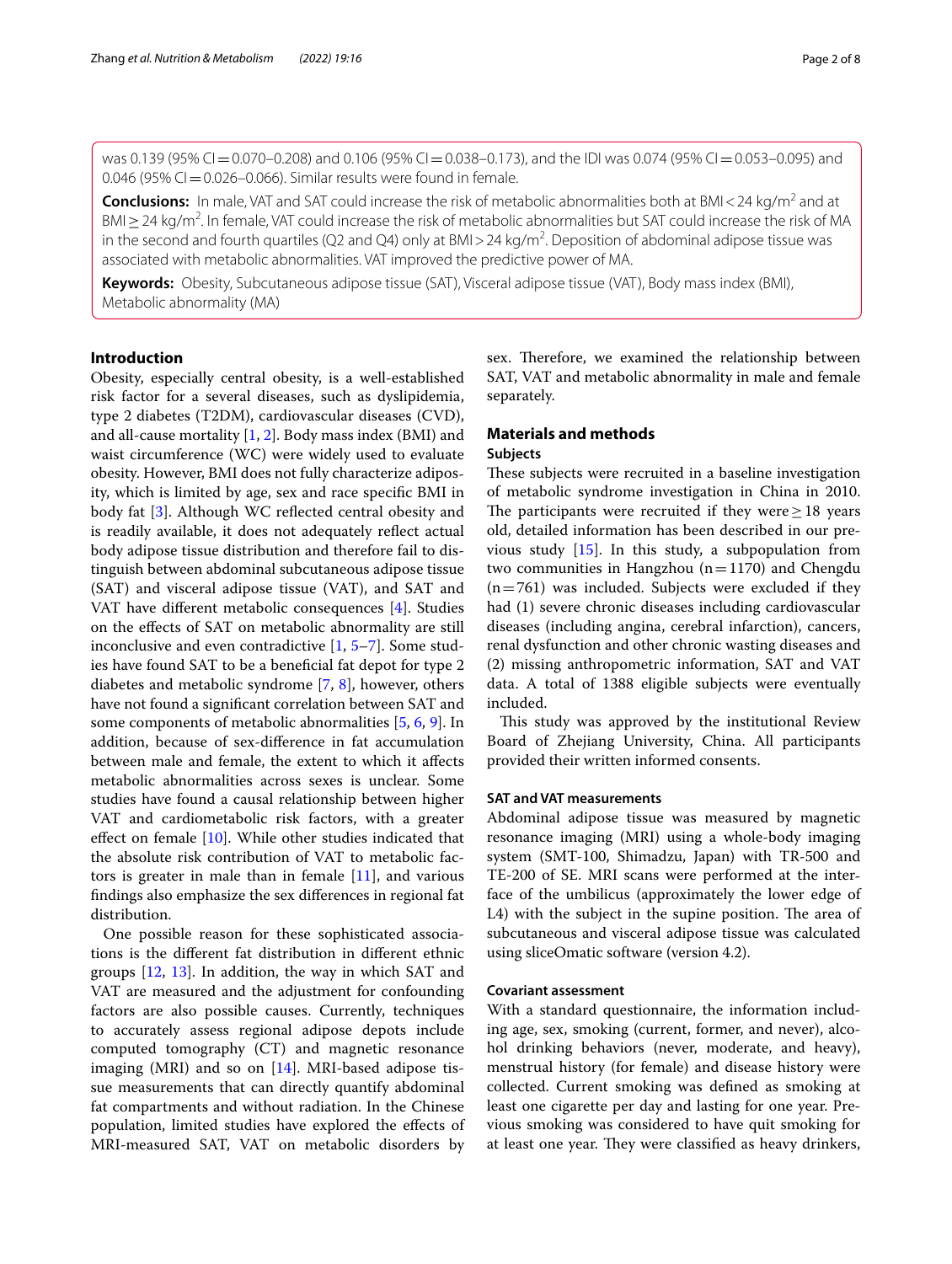was 0.139 (95% CI = 0.070–0.208) and 0.106 (95% CI = 0.038–0.173), and the IDI was 0.074 (95% CI = 0.053–0.095) and  $0.046$  (95% CI = 0.026–0.066). Similar results were found in female.

**Conclusions:** In male, VAT and SAT could increase the risk of metabolic abnormalities both at BMI<24 kg/m<sup>2</sup> and at BMI ≥ 24 kg/m<sup>2</sup>. In female, VAT could increase the risk of metabolic abnormalities but SAT could increase the risk of MA in the second and fourth quartiles (Q2 and Q4) only at BMI > 24 kg/m<sup>2</sup>. Deposition of abdominal adipose tissue was associated with metabolic abnormalities. VAT improved the predictive power of MA.

**Keywords:** Obesity, Subcutaneous adipose tissue (SAT), Visceral adipose tissue (VAT), Body mass index (BMI), Metabolic abnormality (MA)

# **Introduction**

Obesity, especially central obesity, is a well-established risk factor for a several diseases, such as dyslipidemia, type 2 diabetes (T2DM), cardiovascular diseases (CVD), and all-cause mortality [[1](#page-7-0), [2\]](#page-7-1). Body mass index (BMI) and waist circumference (WC) were widely used to evaluate obesity. However, BMI does not fully characterize adiposity, which is limited by age, sex and race specifc BMI in body fat [\[3](#page-7-2)]. Although WC refected central obesity and is readily available, it does not adequately refect actual body adipose tissue distribution and therefore fail to distinguish between abdominal subcutaneous adipose tissue (SAT) and visceral adipose tissue (VAT), and SAT and VAT have diferent metabolic consequences [[4\]](#page-7-3). Studies on the efects of SAT on metabolic abnormality are still inconclusive and even contradictive [[1,](#page-7-0) [5](#page-7-4)[–7](#page-7-5)]. Some studies have found SAT to be a benefcial fat depot for type 2 diabetes and metabolic syndrome [[7,](#page-7-5) [8\]](#page-7-6), however, others have not found a signifcant correlation between SAT and some components of metabolic abnormalities [[5](#page-7-4), [6](#page-7-7), [9\]](#page-7-8). In addition, because of sex-diference in fat accumulation between male and female, the extent to which it afects metabolic abnormalities across sexes is unclear. Some studies have found a causal relationship between higher VAT and cardiometabolic risk factors, with a greater effect on female  $[10]$  $[10]$  $[10]$ . While other studies indicated that the absolute risk contribution of VAT to metabolic factors is greater in male than in female [[11](#page-7-10)], and various fndings also emphasize the sex diferences in regional fat distribution.

One possible reason for these sophisticated associations is the diferent fat distribution in diferent ethnic groups [[12](#page-7-11), [13\]](#page-7-12). In addition, the way in which SAT and VAT are measured and the adjustment for confounding factors are also possible causes. Currently, techniques to accurately assess regional adipose depots include computed tomography (CT) and magnetic resonance imaging (MRI) and so on  $[14]$  $[14]$ . MRI-based adipose tissue measurements that can directly quantify abdominal fat compartments and without radiation. In the Chinese population, limited studies have explored the efects of MRI-measured SAT, VAT on metabolic disorders by sex. Therefore, we examined the relationship between SAT, VAT and metabolic abnormality in male and female separately.

# **Materials and methods Subjects**

These subjects were recruited in a baseline investigation of metabolic syndrome investigation in China in 2010. The participants were recruited if they were  $\geq 18$  years old, detailed information has been described in our previous study  $[15]$  $[15]$ . In this study, a subpopulation from two communities in Hangzhou  $(n=1170)$  and Chengdu  $(n=761)$  was included. Subjects were excluded if they had (1) severe chronic diseases including cardiovascular diseases (including angina, cerebral infarction), cancers, renal dysfunction and other chronic wasting diseases and (2) missing anthropometric information, SAT and VAT data. A total of 1388 eligible subjects were eventually included.

This study was approved by the institutional Review Board of Zhejiang University, China. All participants provided their written informed consents.

## **SAT and VAT measurements**

Abdominal adipose tissue was measured by magnetic resonance imaging (MRI) using a whole-body imaging system (SMT-100, Shimadzu, Japan) with TR-500 and TE-200 of SE. MRI scans were performed at the interface of the umbilicus (approximately the lower edge of L4) with the subject in the supine position. The area of subcutaneous and visceral adipose tissue was calculated using sliceOmatic software (version 4.2).

## **Covariant assessment**

With a standard questionnaire, the information including age, sex, smoking (current, former, and never), alcohol drinking behaviors (never, moderate, and heavy), menstrual history (for female) and disease history were collected. Current smoking was defned as smoking at least one cigarette per day and lasting for one year. Previous smoking was considered to have quit smoking for at least one year. They were classified as heavy drinkers,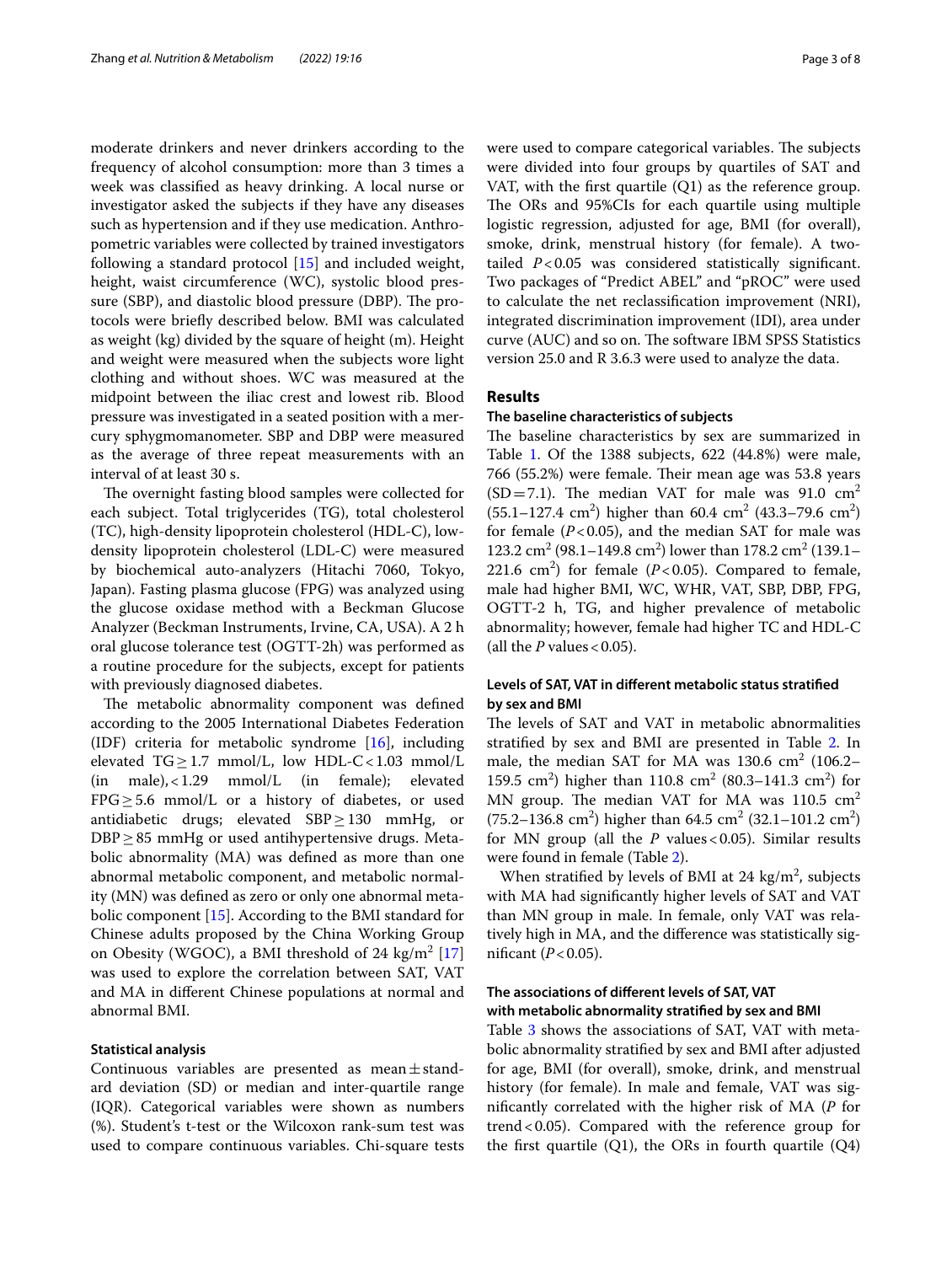moderate drinkers and never drinkers according to the frequency of alcohol consumption: more than 3 times a week was classifed as heavy drinking. A local nurse or investigator asked the subjects if they have any diseases such as hypertension and if they use medication. Anthropometric variables were collected by trained investigators following a standard protocol [[15\]](#page-7-14) and included weight, height, waist circumference (WC), systolic blood pressure (SBP), and diastolic blood pressure (DBP). The protocols were briefy described below. BMI was calculated as weight (kg) divided by the square of height (m). Height and weight were measured when the subjects wore light clothing and without shoes. WC was measured at the midpoint between the iliac crest and lowest rib. Blood pressure was investigated in a seated position with a mercury sphygmomanometer. SBP and DBP were measured as the average of three repeat measurements with an interval of at least 30 s.

The overnight fasting blood samples were collected for each subject. Total triglycerides (TG), total cholesterol (TC), high-density lipoprotein cholesterol (HDL-C), lowdensity lipoprotein cholesterol (LDL-C) were measured by biochemical auto-analyzers (Hitachi 7060, Tokyo, Japan). Fasting plasma glucose (FPG) was analyzed using the glucose oxidase method with a Beckman Glucose Analyzer (Beckman Instruments, Irvine, CA, USA). A 2 h oral glucose tolerance test (OGTT-2h) was performed as a routine procedure for the subjects, except for patients with previously diagnosed diabetes.

The metabolic abnormality component was defined according to the 2005 International Diabetes Federation (IDF) criteria for metabolic syndrome [[16](#page-7-15)], including elevated  $TG \geq 1.7$  mmol/L, low HDL-C < 1.03 mmol/L (in male), < 1.29 mmol/L (in female); elevated  $(in \qquad female);$  $FPG \geq 5.6$  mmol/L or a history of diabetes, or used antidiabetic drugs; elevated SBP≥130 mmHg, or DBP ≥ 85 mmHg or used antihypertensive drugs. Metabolic abnormality (MA) was defned as more than one abnormal metabolic component, and metabolic normality (MN) was defned as zero or only one abnormal metabolic component [\[15](#page-7-14)]. According to the BMI standard for Chinese adults proposed by the China Working Group on Obesity (WGOC), a BMI threshold of 24 kg/m<sup>2</sup> [[17](#page-7-16)] was used to explore the correlation between SAT, VAT and MA in diferent Chinese populations at normal and abnormal BMI.

## **Statistical analysis**

Continuous variables are presented as mean $\pm$ standard deviation (SD) or median and inter-quartile range (IQR). Categorical variables were shown as numbers (%). Student's t-test or the Wilcoxon rank-sum test was used to compare continuous variables. Chi-square tests were used to compare categorical variables. The subjects were divided into four groups by quartiles of SAT and VAT, with the first quartile  $(Q1)$  as the reference group. The ORs and 95%CIs for each quartile using multiple logistic regression, adjusted for age, BMI (for overall), smoke, drink, menstrual history (for female). A twotailed *P*<0.05 was considered statistically signifcant. Two packages of "Predict ABEL" and "pROC" were used to calculate the net reclassifcation improvement (NRI), integrated discrimination improvement (IDI), area under curve (AUC) and so on. The software IBM SPSS Statistics version 25.0 and R 3.6.3 were used to analyze the data.

# **Results**

## **The baseline characteristics of subjects**

The baseline characteristics by sex are summarized in Table [1](#page-3-0). Of the 1388 subjects, 622 (44.8%) were male,  $766$   $(55.2%)$  were female. Their mean age was  $53.8$  years  $(SD=7.1)$ . The median VAT for male was 91.0 cm<sup>2</sup>  $(55.1 - 127.4 \text{ cm}^2)$  higher than 60.4 cm<sup>2</sup> (43.3–79.6 cm<sup>2</sup>) for female  $(P<0.05)$ , and the median SAT for male was 123.2 cm<sup>2</sup> (98.1–149.8 cm<sup>2</sup>) lower than 178.2 cm<sup>2</sup> (139.1– 221.6  $\text{cm}^2$ ) for female (*P*<0.05). Compared to female, male had higher BMI, WC, WHR, VAT, SBP, DBP, FPG, OGTT-2 h, TG, and higher prevalence of metabolic abnormality; however, female had higher TC and HDL-C (all the  $P$  values < 0.05).

# **Levels of SAT, VAT in diferent metabolic status stratifed by sex and BMI**

The levels of SAT and VAT in metabolic abnormalities stratifed by sex and BMI are presented in Table [2](#page-3-1). In male, the median SAT for MA was  $130.6 \text{ cm}^2$  (106.2– 159.5 cm<sup>2</sup>) higher than 110.8 cm<sup>2</sup> (80.3–141.3 cm<sup>2</sup>) for MN group. The median VAT for MA was  $110.5 \text{ cm}^2$  $(75.2-136.8 \text{ cm}^2)$  higher than 64.5 cm<sup>2</sup> (32.1–101.2 cm<sup>2</sup>) for MN group (all the *P* values<0.05). Similar results were found in female (Table [2](#page-3-1)).

When stratified by levels of BMI at 24  $\text{kg/m}^2$ , subjects with MA had signifcantly higher levels of SAT and VAT than MN group in male. In female, only VAT was relatively high in MA, and the diference was statistically significant  $(P<0.05)$ .

# **The associations of diferent levels of SAT, VAT with metabolic abnormality stratifed by sex and BMI**

Table [3](#page-4-0) shows the associations of SAT, VAT with metabolic abnormality stratifed by sex and BMI after adjusted for age, BMI (for overall), smoke, drink, and menstrual history (for female). In male and female, VAT was signifcantly correlated with the higher risk of MA (*P* for trend<0.05). Compared with the reference group for the first quartile  $(Q1)$ , the ORs in fourth quartile  $(Q4)$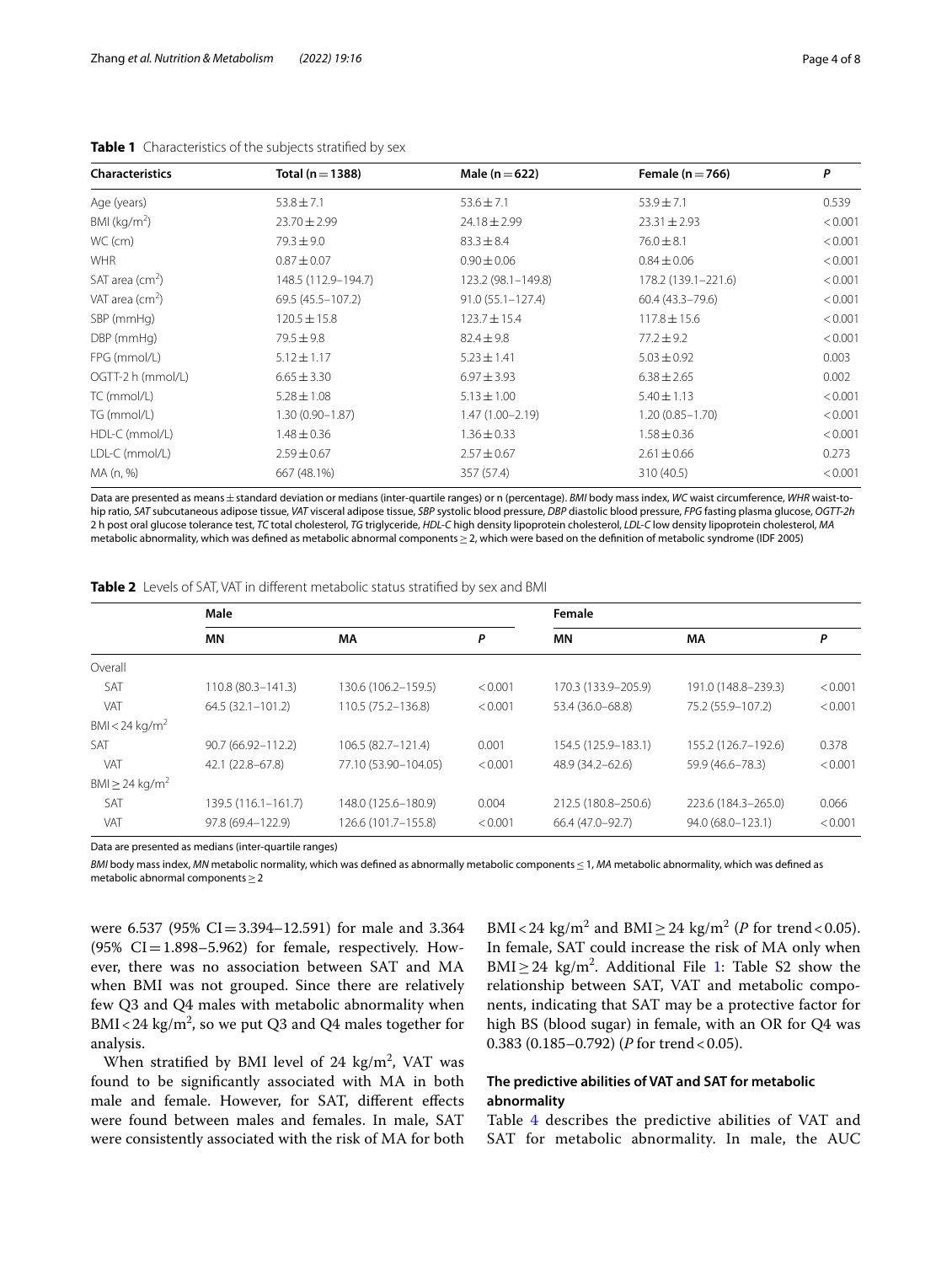| <b>Characteristics</b> | Total ( $n = 1388$ ) | Male ( $n = 622$ )   | Female ( $n = 766$ ) | P       |
|------------------------|----------------------|----------------------|----------------------|---------|
| Age (years)            | $53.8 \pm 7.1$       | $53.6 \pm 7.1$       | $53.9 \pm 7.1$       | 0.539   |
| BMI ( $kg/m2$ )        | $23.70 \pm 2.99$     | $24.18 \pm 2.99$     | $23.31 \pm 2.93$     | < 0.001 |
| WC (cm)                | $79.3 \pm 9.0$       | $83.3 \pm 8.4$       | $76.0 \pm 8.1$       | < 0.001 |
| <b>WHR</b>             | $0.87 \pm 0.07$      | $0.90 \pm 0.06$      | $0.84 \pm 0.06$      | < 0.001 |
| SAT area $(cm2)$       | 148.5 (112.9-194.7)  | 123.2 (98.1-149.8)   | 178.2 (139.1-221.6)  | < 0.001 |
| VAT area $(cm2)$       | 69.5 (45.5 - 107.2)  | $91.0(55.1 - 127.4)$ | $60.4(43.3 - 79.6)$  | < 0.001 |
| SBP (mmHg)             | $120.5 \pm 15.8$     | $123.7 \pm 15.4$     | $117.8 \pm 15.6$     | < 0.001 |
| DBP (mmHg)             | $79.5 \pm 9.8$       | $82.4 \pm 9.8$       | $77.2 \pm 9.2$       | < 0.001 |
| FPG (mmol/L)           | $5.12 \pm 1.17$      | $5.23 \pm 1.41$      | $5.03 \pm 0.92$      | 0.003   |
| OGTT-2 h (mmol/L)      | $6.65 \pm 3.30$      | $6.97 \pm 3.93$      | $6.38 \pm 2.65$      | 0.002   |
| TC (mmol/L)            | $5.28 \pm 1.08$      | $5.13 \pm 1.00$      | $5.40 \pm 1.13$      | < 0.001 |
| TG (mmol/L)            | $1.30(0.90 - 1.87)$  | $1.47(1.00 - 2.19)$  | $1.20(0.85 - 1.70)$  | < 0.001 |
| HDL-C (mmol/L)         | $1.48 \pm 0.36$      | $1.36 \pm 0.33$      | $1.58 \pm 0.36$      | < 0.001 |
| LDL-C (mmol/L)         | $2.59 \pm 0.67$      | $2.57 \pm 0.67$      | $2.61 \pm 0.66$      | 0.273   |
| MA (n, %)              | 667 (48.1%)          | 357 (57.4)           | 310 (40.5)           | < 0.001 |

<span id="page-3-0"></span>

Data are presented as means±standard deviation or medians (inter-quartile ranges) or n (percentage). *BMI* body mass index, *WC* waist circumference, *WHR* waist-tohip ratio, *SAT* subcutaneous adipose tissue, *VAT* visceral adipose tissue, *SBP* systolic blood pressure, *DBP* diastolic blood pressure, *FPG* fasting plasma glucose, *OGTT-2h* 2 h post oral glucose tolerance test, *TC* total cholesterol, *TG* triglyceride, *HDL-C* high density lipoprotein cholesterol, *LDL-C* low density lipoprotein cholesterol, *MA* metabolic abnormality, which was defned as metabolic abnormal components≥2, which were based on the defnition of metabolic syndrome (IDF 2005)

<span id="page-3-1"></span>

|  |  |  | <b>Table 2</b> Levels of SAT, VAT in different metabolic status stratified by sex and BMI |  |  |
|--|--|--|-------------------------------------------------------------------------------------------|--|--|
|--|--|--|-------------------------------------------------------------------------------------------|--|--|

|                                 | Male                  |                      | Female  |                     |                     |         |
|---------------------------------|-----------------------|----------------------|---------|---------------------|---------------------|---------|
|                                 | MN                    | МA                   | P       | <b>MN</b>           | МA                  | P       |
| Overall                         |                       |                      |         |                     |                     |         |
| SAT                             | $110.8(80.3 - 141.3)$ | 130.6 (106.2-159.5)  | < 0.001 | 170.3 (133.9-205.9) | 191.0 (148.8-239.3) | < 0.001 |
| VAT                             | $64.5(32.1 - 101.2)$  | 110.5 (75.2-136.8)   | < 0.001 | 53.4 (36.0-68.8)    | 75.2 (55.9-107.2)   | < 0.001 |
| BMI < 24 kg/m <sup>2</sup>      |                       |                      |         |                     |                     |         |
| <b>SAT</b>                      | 90.7 (66.92-112.2)    | 106.5 (82.7-121.4)   | 0.001   | 154.5 (125.9-183.1) | 155.2 (126.7-192.6) | 0.378   |
| VAT                             | 42.1 (22.8-67.8)      | 77.10 (53.90-104.05) | < 0.001 | 48.9 (34.2-62.6)    | 59.9 (46.6-78.3)    | < 0.001 |
| BMI $\geq$ 24 kg/m <sup>2</sup> |                       |                      |         |                     |                     |         |
| SAT                             | 139.5 (116.1-161.7)   | 148.0 (125.6-180.9)  | 0.004   | 212.5 (180.8-250.6) | 223.6 (184.3-265.0) | 0.066   |
| VAT                             | 97.8 (69.4-122.9)     | 126.6 (101.7-155.8)  | < 0.001 | 66.4 (47.0-92.7)    | 94.0 (68.0-123.1)   | < 0.001 |

Data are presented as medians (inter-quartile ranges)

*BMI* body mass index, *MN* metabolic normality, which was defined as abnormally metabolic components ≤1, *MA* metabolic abnormality, which was defined as metabolic abnormal components≥2

were 6.537 (95% CI=3.394–12.591) for male and 3.364  $(95\% \text{ CI} = 1.898 - 5.962)$  for female, respectively. However, there was no association between SAT and MA when BMI was not grouped. Since there are relatively few Q3 and Q4 males with metabolic abnormality when BMI<24 kg/m<sup>2</sup>, so we put Q3 and Q4 males together for analysis.

When stratified by BMI level of 24  $\text{kg/m}^2$ , VAT was found to be signifcantly associated with MA in both male and female. However, for SAT, diferent efects were found between males and females. In male, SAT were consistently associated with the risk of MA for both

BMI<24 kg/m<sup>2</sup> and BMI  $\geq$  24 kg/m<sup>2</sup> (*P* for trend < 0.05). In female, SAT could increase the risk of MA only when  $BMI \geq 24$  kg/m<sup>2</sup>. Additional File [1](#page-6-0): Table S2 show the relationship between SAT, VAT and metabolic components, indicating that SAT may be a protective factor for high BS (blood sugar) in female, with an OR for Q4 was 0.383 (0.185–0.792) (*P* for trend < 0.05).

# **The predictive abilities of VAT and SAT for metabolic abnormality**

Table [4](#page-5-0) describes the predictive abilities of VAT and SAT for metabolic abnormality. In male, the AUC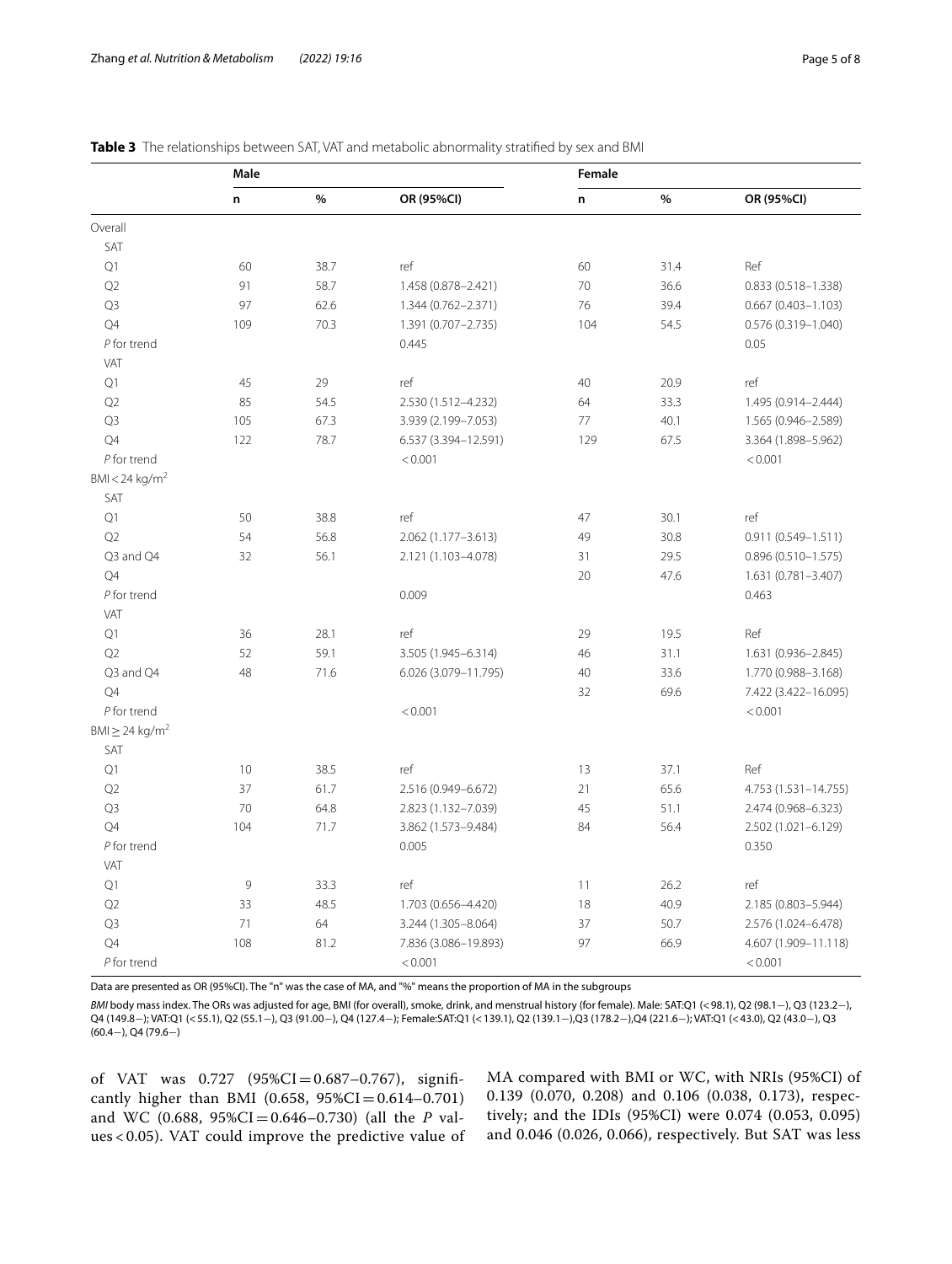|                                 | Male |      |                      | Female |      |                        |  |
|---------------------------------|------|------|----------------------|--------|------|------------------------|--|
|                                 | n    | $\%$ | OR (95%CI)           | n      | $\%$ | OR (95%CI)             |  |
| Overall                         |      |      |                      |        |      |                        |  |
| SAT                             |      |      |                      |        |      |                        |  |
| Q1                              | 60   | 38.7 | ref                  | 60     | 31.4 | Ref                    |  |
| Q2                              | 91   | 58.7 | 1.458 (0.878-2.421)  | 70     | 36.6 | 0.833 (0.518-1.338)    |  |
| Q <sub>3</sub>                  | 97   | 62.6 | 1.344 (0.762-2.371)  | 76     | 39.4 | $0.667(0.403 - 1.103)$ |  |
| Q4                              | 109  | 70.3 | 1.391 (0.707-2.735)  | 104    | 54.5 | 0.576 (0.319-1.040)    |  |
| $P$ for trend                   |      |      | 0.445                |        |      | 0.05                   |  |
| VAT                             |      |      |                      |        |      |                        |  |
| Q1                              | 45   | 29   | ref                  | 40     | 20.9 | ref                    |  |
| Q2                              | 85   | 54.5 | 2.530 (1.512-4.232)  | 64     | 33.3 | 1.495 (0.914-2.444)    |  |
| Q3                              | 105  | 67.3 | 3.939 (2.199-7.053)  | 77     | 40.1 | 1.565 (0.946-2.589)    |  |
| Q4                              | 122  | 78.7 | 6.537 (3.394-12.591) | 129    | 67.5 | 3.364 (1.898-5.962)    |  |
| $P$ for trend                   |      |      | < 0.001              |        |      | < 0.001                |  |
| BMI < 24 kg/m <sup>2</sup>      |      |      |                      |        |      |                        |  |
| SAT                             |      |      |                      |        |      |                        |  |
| $\mathsf{Q}1$                   | 50   | 38.8 | ref                  | 47     | 30.1 | ref                    |  |
| Q2                              | 54   | 56.8 | 2.062 (1.177-3.613)  | 49     | 30.8 | $0.911(0.549 - 1.511)$ |  |
| Q3 and Q4                       | 32   | 56.1 | 2.121 (1.103-4.078)  | 31     | 29.5 | $0.896(0.510 - 1.575)$ |  |
| Q4                              |      |      |                      | 20     | 47.6 | 1.631 (0.781-3.407)    |  |
| $P$ for trend                   |      |      | 0.009                |        |      | 0.463                  |  |
| VAT                             |      |      |                      |        |      |                        |  |
| Q1                              | 36   | 28.1 | ref                  | 29     | 19.5 | Ref                    |  |
| Q2                              | 52   | 59.1 | 3.505 (1.945-6.314)  | 46     | 31.1 | 1.631 (0.936-2.845)    |  |
| Q3 and Q4                       | 48   | 71.6 | 6.026 (3.079-11.795) | 40     | 33.6 | 1.770 (0.988-3.168)    |  |
| Q4                              |      |      |                      | 32     | 69.6 | 7.422 (3.422-16.095)   |  |
| $P$ for trend                   |      |      | < 0.001              |        |      | < 0.001                |  |
| $BMl \geq 24$ kg/m <sup>2</sup> |      |      |                      |        |      |                        |  |
| SAT                             |      |      |                      |        |      |                        |  |
| Q1                              | 10   | 38.5 | ref                  | 13     | 37.1 | Ref                    |  |
| Q2                              | 37   | 61.7 | 2.516 (0.949-6.672)  | 21     | 65.6 | 4.753 (1.531-14.755)   |  |
| Q3                              | 70   | 64.8 | 2.823 (1.132-7.039)  | 45     | 51.1 | 2.474 (0.968-6.323)    |  |
| Q4                              | 104  | 71.7 | 3.862 (1.573-9.484)  | 84     | 56.4 | 2.502 (1.021-6.129)    |  |
| $P$ for trend                   |      |      | 0.005                |        |      | 0.350                  |  |
| VAT                             |      |      |                      |        |      |                        |  |
| Q1                              | 9    | 33.3 | ref                  | 11     | 26.2 | ref                    |  |
| Q <sub>2</sub>                  | 33   | 48.5 | 1.703 (0.656-4.420)  | 18     | 40.9 | 2.185 (0.803-5.944)    |  |
| Q <sub>3</sub>                  | 71   | 64   | 3.244 (1.305-8.064)  | 37     | 50.7 | 2.576 (1.024-6.478)    |  |
| Q4                              | 108  | 81.2 | 7.836 (3.086-19.893) | 97     | 66.9 | 4.607 (1.909-11.118)   |  |
| $P$ for trend                   |      |      | < 0.001              |        |      | < 0.001                |  |

## <span id="page-4-0"></span>**Table 3** The relationships between SAT, VAT and metabolic abnormality stratifed by sex and BMI

Data are presented as OR (95%CI). The "n" was the case of MA, and "%" means the proportion of MA in the subgroups

*BMI* body mass index. The ORs was adjusted for age, BMI (for overall), smoke, drink, and menstrual history (for female). Male: SAT:Q1 (<98.1), Q2 (98.1−), Q3 (123.2−), Q4 (149.8−); VAT:Q1 (<55.1), Q2 (55.1−), Q3 (91.00−), Q4 (127.4−); Female:SAT:Q1 (<139.1), Q2 (139.1−),Q3 (178.2−),Q4 (221.6−); VAT:Q1 (<43.0), Q2 (43.0−), Q3 (60.4−), Q4 (79.6−)

of VAT was 0.727 (95%CI=0.687-0.767), significantly higher than BMI (0.658,  $95\%CI = 0.614 - 0.701$ ) and WC (0.688, 95%CI=0.646–0.730) (all the *P* values < 0.05). VAT could improve the predictive value of MA compared with BMI or WC, with NRIs (95%CI) of 0.139 (0.070, 0.208) and 0.106 (0.038, 0.173), respectively; and the IDIs (95%CI) were 0.074 (0.053, 0.095) and 0.046 (0.026, 0.066), respectively. But SAT was less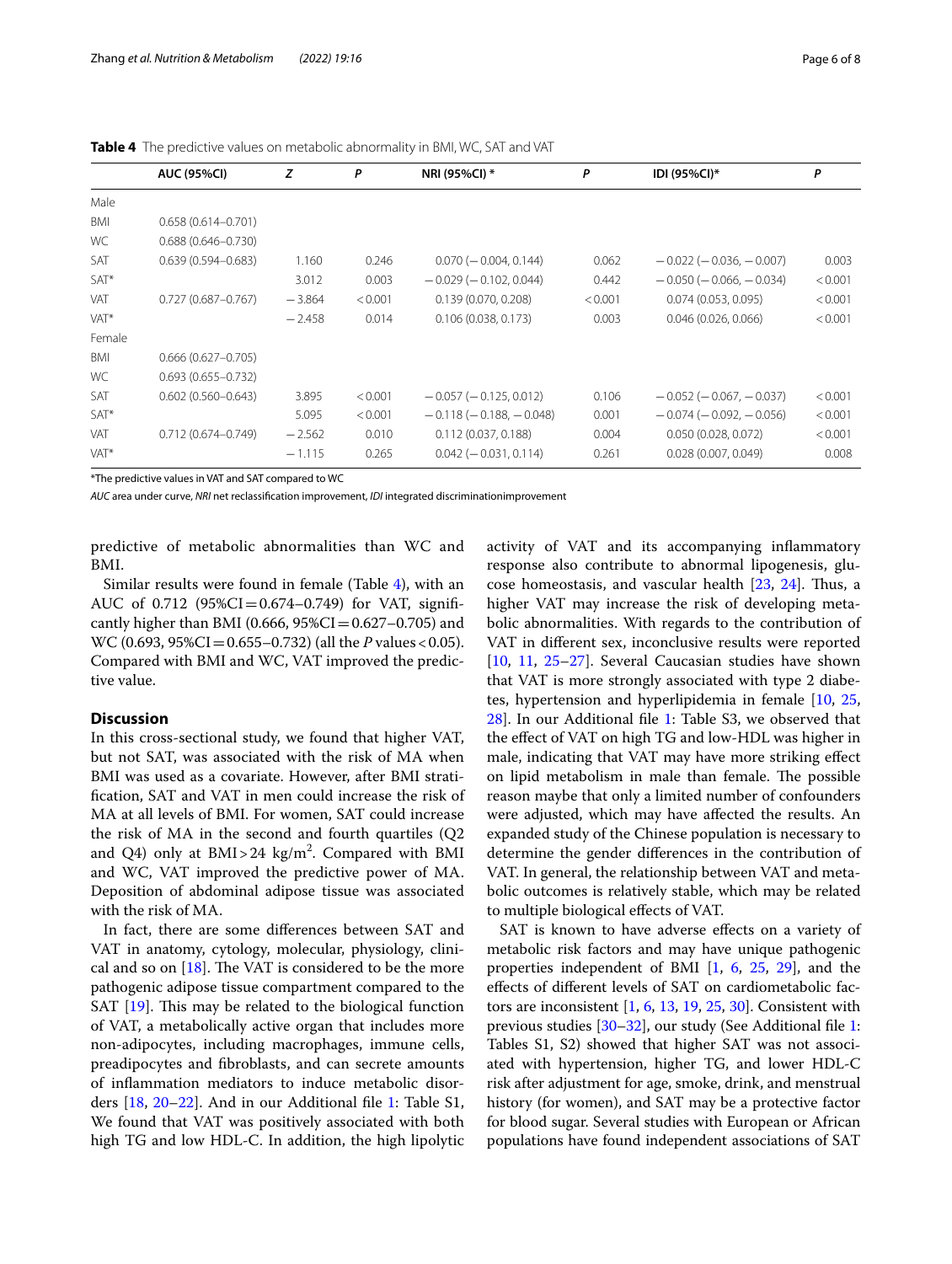|            | <b>AUC (95%CI)</b>     | z        | P       | NRI (95%CI) *                | P       | IDI (95%CI)*                     | P       |
|------------|------------------------|----------|---------|------------------------------|---------|----------------------------------|---------|
| Male       |                        |          |         |                              |         |                                  |         |
| <b>BMI</b> | $0.658(0.614 - 0.701)$ |          |         |                              |         |                                  |         |
| <b>WC</b>  | $0.688(0.646 - 0.730)$ |          |         |                              |         |                                  |         |
| SAT        | $0.639(0.594 - 0.683)$ | 1.160    | 0.246   | $0.070 (-0.004, 0.144)$      | 0.062   | $-0.022(-0.036, -0.007)$         | 0.003   |
| SAT*       |                        | 3.012    | 0.003   | $-0.029(-0.102, 0.044)$      | 0.442   | $-0.050$ ( $-0.066$ , $-0.034$ ) | < 0.001 |
| VAT        | $0.727(0.687 - 0.767)$ | $-3.864$ | < 0.001 | 0.139(0.070, 0.208)          | < 0.001 | 0.074(0.053, 0.095)              | < 0.001 |
| VAT*       |                        | $-2.458$ | 0.014   | 0.106(0.038, 0.173)          | 0.003   | 0.046(0.026, 0.066)              | < 0.001 |
| Female     |                        |          |         |                              |         |                                  |         |
| <b>BMI</b> | $0.666(0.627 - 0.705)$ |          |         |                              |         |                                  |         |
| WC         | $0.693(0.655 - 0.732)$ |          |         |                              |         |                                  |         |
| <b>SAT</b> | $0.602(0.560 - 0.643)$ | 3.895    | < 0.001 | $-0.057$ ( $-0.125, 0.012$ ) | 0.106   | $-0.052$ ( $-0.067$ , $-0.037$ ) | < 0.001 |
| SAT*       |                        | 5.095    | < 0.001 | $-0.118(-0.188, -0.048)$     | 0.001   | $-0.074$ ( $-0.092$ , $-0.056$ ) | < 0.001 |
| VAT        | $0.712(0.674 - 0.749)$ | $-2.562$ | 0.010   | 0.112(0.037, 0.188)          | 0.004   | 0.050(0.028, 0.072)              | < 0.001 |
| VAT*       |                        | $-1.115$ | 0.265   | $0.042 (-0.031, 0.114)$      | 0.261   | 0.028(0.007, 0.049)              | 0.008   |

<span id="page-5-0"></span>**Table 4** The predictive values on metabolic abnormality in BMI, WC, SAT and VAT

\*The predictive values in VAT and SAT compared to WC

*AUC* area under curve, *NRI* net reclassifcation improvement, *IDI* integrated discriminationimprovement

predictive of metabolic abnormalities than WC and BMI.

Similar results were found in female (Table [4](#page-5-0)), with an AUC of  $0.712$  (95%CI=0.674-0.749) for VAT, significantly higher than BMI (0.666,  $95\%CI = 0.627 - 0.705$ ) and WC (0.693, 95%CI=0.655–0.732) (all the *P* values<0.05). Compared with BMI and WC, VAT improved the predictive value.

# **Discussion**

In this cross-sectional study, we found that higher VAT, but not SAT, was associated with the risk of MA when BMI was used as a covariate. However, after BMI stratifcation, SAT and VAT in men could increase the risk of MA at all levels of BMI. For women, SAT could increase the risk of MA in the second and fourth quartiles (Q2 and Q4) only at  $BMI > 24$  kg/m<sup>2</sup>. Compared with BMI and WC, VAT improved the predictive power of MA. Deposition of abdominal adipose tissue was associated with the risk of MA.

In fact, there are some diferences between SAT and VAT in anatomy, cytology, molecular, physiology, clinical and so on  $[18]$  $[18]$  $[18]$ . The VAT is considered to be the more pathogenic adipose tissue compartment compared to the SAT  $[19]$  $[19]$ . This may be related to the biological function of VAT, a metabolically active organ that includes more non-adipocytes, including macrophages, immune cells, preadipocytes and fbroblasts, and can secrete amounts of infammation mediators to induce metabolic disorders [\[18](#page-7-17), [20–](#page-7-19)[22](#page-7-20)]. And in our Additional fle [1](#page-6-0): Table S1, We found that VAT was positively associated with both high TG and low HDL-C. In addition, the high lipolytic activity of VAT and its accompanying infammatory response also contribute to abnormal lipogenesis, glucose homeostasis, and vascular health  $[23, 24]$  $[23, 24]$  $[23, 24]$  $[23, 24]$  $[23, 24]$ . Thus, a higher VAT may increase the risk of developing metabolic abnormalities. With regards to the contribution of VAT in diferent sex, inconclusive results were reported [[10,](#page-7-9) [11](#page-7-10), [25](#page-7-23)[–27](#page-7-24)]. Several Caucasian studies have shown that VAT is more strongly associated with type 2 diabetes, hypertension and hyperlipidemia in female [[10](#page-7-9), [25](#page-7-23), [28\]](#page-7-25). In our Additional fle [1:](#page-6-0) Table S3, we observed that the efect of VAT on high TG and low-HDL was higher in male, indicating that VAT may have more striking efect on lipid metabolism in male than female. The possible reason maybe that only a limited number of confounders were adjusted, which may have afected the results. An expanded study of the Chinese population is necessary to determine the gender diferences in the contribution of VAT. In general, the relationship between VAT and metabolic outcomes is relatively stable, which may be related to multiple biological efects of VAT.

SAT is known to have adverse effects on a variety of metabolic risk factors and may have unique pathogenic properties independent of BMI [[1,](#page-7-0) [6](#page-7-7), [25](#page-7-23), [29\]](#page-7-26), and the efects of diferent levels of SAT on cardiometabolic factors are inconsistent  $[1, 6, 13, 19, 25, 30]$  $[1, 6, 13, 19, 25, 30]$  $[1, 6, 13, 19, 25, 30]$  $[1, 6, 13, 19, 25, 30]$  $[1, 6, 13, 19, 25, 30]$  $[1, 6, 13, 19, 25, 30]$  $[1, 6, 13, 19, 25, 30]$  $[1, 6, 13, 19, 25, 30]$  $[1, 6, 13, 19, 25, 30]$  $[1, 6, 13, 19, 25, 30]$  $[1, 6, 13, 19, 25, 30]$  $[1, 6, 13, 19, 25, 30]$ . Consistent with previous studies [\[30–](#page-7-27)[32\]](#page-7-28), our study (See Additional fle [1](#page-6-0): Tables S1, S2) showed that higher SAT was not associated with hypertension, higher TG, and lower HDL-C risk after adjustment for age, smoke, drink, and menstrual history (for women), and SAT may be a protective factor for blood sugar. Several studies with European or African populations have found independent associations of SAT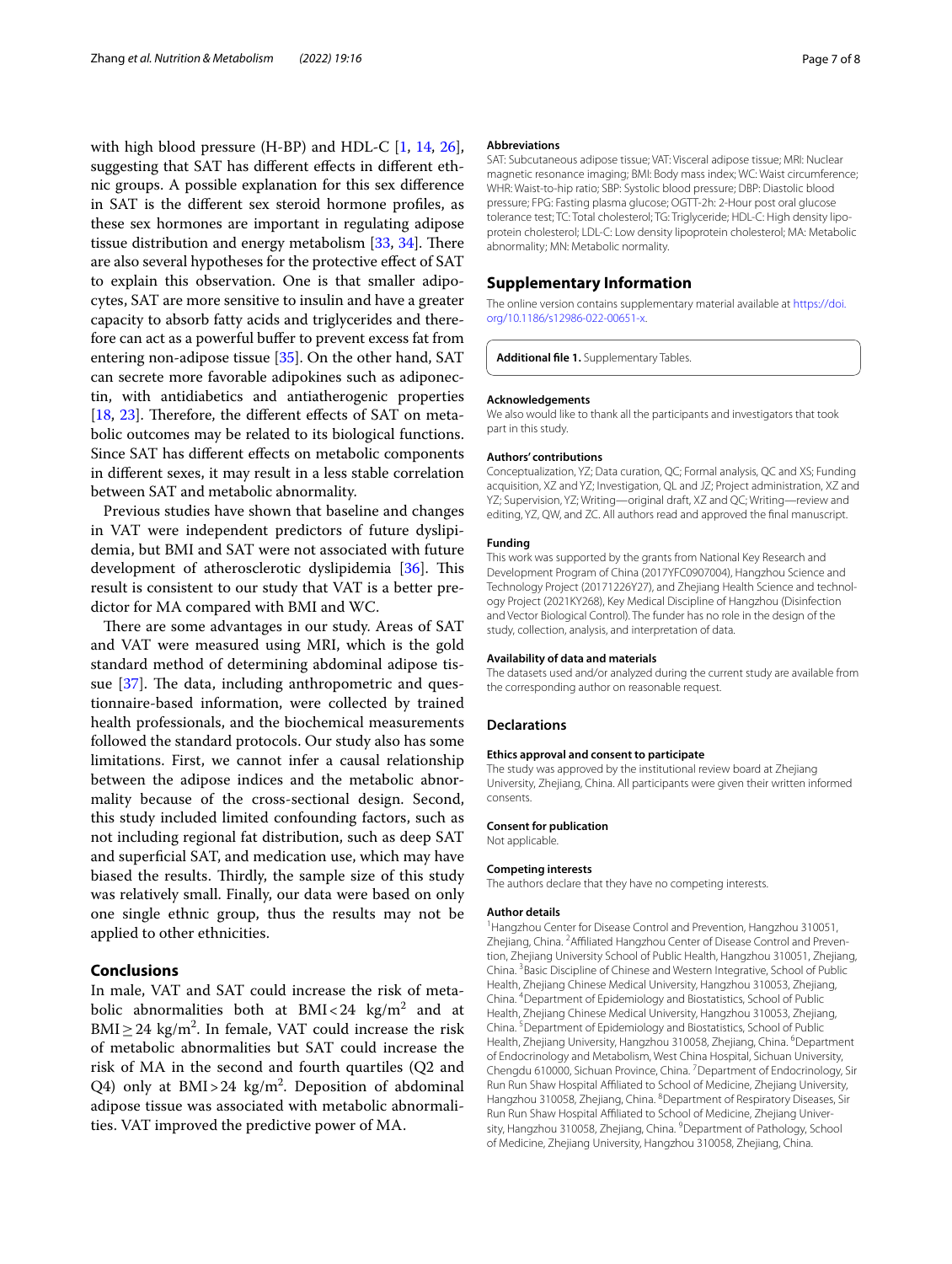with high blood pressure (H-BP) and HDL-C [\[1,](#page-7-0) [14](#page-7-13), [26](#page-7-29)], suggesting that SAT has diferent efects in diferent ethnic groups. A possible explanation for this sex diference in SAT is the diferent sex steroid hormone profles, as these sex hormones are important in regulating adipose tissue distribution and energy metabolism  $[33, 34]$  $[33, 34]$  $[33, 34]$  $[33, 34]$  $[33, 34]$ . There are also several hypotheses for the protective efect of SAT to explain this observation. One is that smaller adipocytes, SAT are more sensitive to insulin and have a greater capacity to absorb fatty acids and triglycerides and therefore can act as a powerful buffer to prevent excess fat from entering non-adipose tissue [[35](#page-7-32)]. On the other hand, SAT can secrete more favorable adipokines such as adiponectin, with antidiabetics and antiatherogenic properties [[18,](#page-7-17) [23\]](#page-7-21). Therefore, the different effects of SAT on metabolic outcomes may be related to its biological functions. Since SAT has diferent efects on metabolic components in diferent sexes, it may result in a less stable correlation between SAT and metabolic abnormality.

Previous studies have shown that baseline and changes in VAT were independent predictors of future dyslipidemia, but BMI and SAT were not associated with future development of atherosclerotic dyslipidemia [\[36\]](#page-7-33). This result is consistent to our study that VAT is a better predictor for MA compared with BMI and WC.

There are some advantages in our study. Areas of SAT and VAT were measured using MRI, which is the gold standard method of determining abdominal adipose tissue  $[37]$ . The data, including anthropometric and questionnaire-based information, were collected by trained health professionals, and the biochemical measurements followed the standard protocols. Our study also has some limitations. First, we cannot infer a causal relationship between the adipose indices and the metabolic abnormality because of the cross-sectional design. Second, this study included limited confounding factors, such as not including regional fat distribution, such as deep SAT and superfcial SAT, and medication use, which may have biased the results. Thirdly, the sample size of this study was relatively small. Finally, our data were based on only one single ethnic group, thus the results may not be applied to other ethnicities.

## **Conclusions**

In male, VAT and SAT could increase the risk of metabolic abnormalities both at  $\text{BMI} < 24$  kg/m<sup>2</sup> and at  $\text{BMI} \geq 24 \text{ kg/m}^2$ . In female, VAT could increase the risk of metabolic abnormalities but SAT could increase the risk of MA in the second and fourth quartiles (Q2 and Q4) only at  $BMI > 24$  kg/m<sup>2</sup>. Deposition of abdominal adipose tissue was associated with metabolic abnormalities. VAT improved the predictive power of MA.

### **Abbreviations**

SAT: Subcutaneous adipose tissue; VAT: Visceral adipose tissue; MRI: Nuclear magnetic resonance imaging; BMI: Body mass index; WC: Waist circumference; WHR: Waist-to-hip ratio; SBP: Systolic blood pressure; DBP: Diastolic blood pressure; FPG: Fasting plasma glucose; OGTT-2h: 2-Hour post oral glucose tolerance test; TC: Total cholesterol; TG: Triglyceride; HDL-C: High density lipoprotein cholesterol; LDL-C: Low density lipoprotein cholesterol; MA: Metabolic abnormality; MN: Metabolic normality.

## **Supplementary Information**

The online version contains supplementary material available at [https://doi.](https://doi.org/10.1186/s12986-022-00651-x) [org/10.1186/s12986-022-00651-x.](https://doi.org/10.1186/s12986-022-00651-x)

<span id="page-6-0"></span>**Additional fle 1.** Supplementary Tables.

#### **Acknowledgements**

We also would like to thank all the participants and investigators that took part in this study.

#### **Authors' contributions**

Conceptualization, YZ; Data curation, QC; Formal analysis, QC and XS; Funding acquisition, XZ and YZ; Investigation, QL and JZ; Project administration, XZ and YZ; Supervision, YZ; Writing—original draft, XZ and QC; Writing—review and editing, YZ, QW, and ZC. All authors read and approved the fnal manuscript.

### **Funding**

This work was supported by the grants from National Key Research and Development Program of China (2017YFC0907004), Hangzhou Science and Technology Project (20171226Y27), and Zhejiang Health Science and technology Project (2021KY268), Key Medical Discipline of Hangzhou (Disinfection and Vector Biological Control). The funder has no role in the design of the study, collection, analysis, and interpretation of data.

#### **Availability of data and materials**

The datasets used and/or analyzed during the current study are available from the corresponding author on reasonable request.

#### **Declarations**

#### **Ethics approval and consent to participate**

The study was approved by the institutional review board at Zhejiang University, Zhejiang, China. All participants were given their written informed consents.

#### **Consent for publication**

Not applicable.

#### **Competing interests**

The authors declare that they have no competing interests.

## **Author details**

<sup>1</sup> Hangzhou Center for Disease Control and Prevention, Hangzhou 310051, Zhejiang, China. <sup>2</sup> Affiliated Hangzhou Center of Disease Control and Prevention, Zhejiang University School of Public Health, Hangzhou 310051, Zhejiang, China. 3 Basic Discipline of Chinese and Western Integrative, School of Public Health, Zhejiang Chinese Medical University, Hangzhou 310053, Zhejiang, China. 4 Department of Epidemiology and Biostatistics, School of Public Health, Zhejiang Chinese Medical University, Hangzhou 310053, Zhejiang, China. <sup>5</sup> Department of Epidemiology and Biostatistics, School of Public Health, Zhejiang University, Hangzhou 310058, Zhejiang, China. <sup>6</sup>Department of Endocrinology and Metabolism, West China Hospital, Sichuan University, Chengdu 610000, Sichuan Province, China. <sup>7</sup> Department of Endocrinology, Sir Run Run Shaw Hospital Afliated to School of Medicine, Zhejiang University, Hangzhou 310058, Zhejiang, China. <sup>8</sup>Department of Respiratory Diseases, Sir Run Run Shaw Hospital Afliated to School of Medicine, Zhejiang University, Hangzhou 310058, Zhejiang, China. <sup>9</sup>Department of Pathology, School of Medicine, Zhejiang University, Hangzhou 310058, Zhejiang, China.